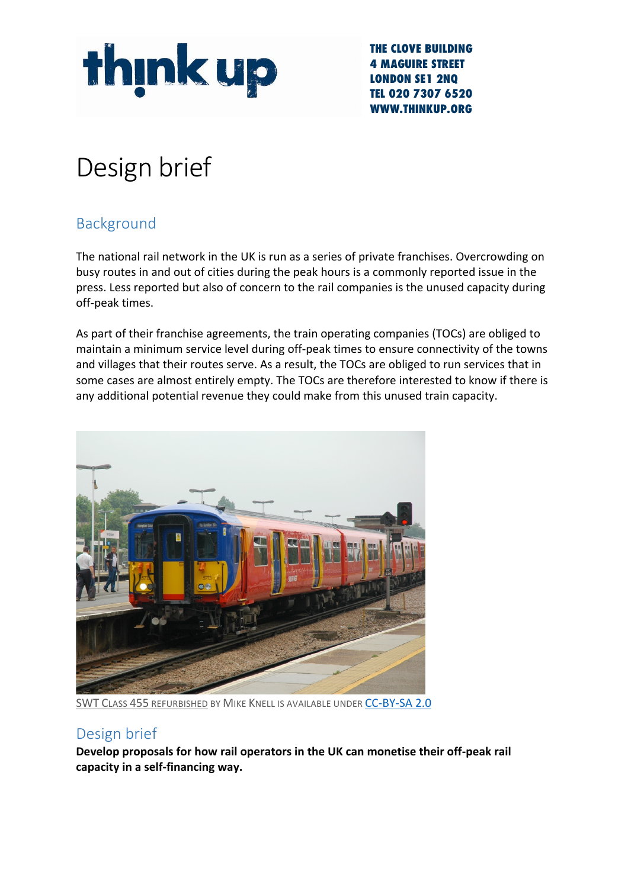

**THE CLOVE BUILDING 4 MAGUIRE STREET LONDON SE1 2NQ TEL 020 7307 6520 WWW.THINKUP.ORG**

## Design brief

## Background

The national rail network in the UK is run as a series of private franchises. Overcrowding on busy routes in and out of cities during the peak hours is a commonly reported issue in the press. Less reported but also of concern to the rail companies is the unused capacity during off-peak times. 

As part of their franchise agreements, the train operating companies (TOCs) are obliged to maintain a minimum service level during off-peak times to ensure connectivity of the towns and villages that their routes serve. As a result, the TOCs are obliged to run services that in some cases are almost entirely empty. The TOCs are therefore interested to know if there is any additional potential revenue they could make from this unused train capacity.



SWT CLASS 455 REFURBISHED BY MIKE KNELL IS AVAILABLE UNDER CC-BY-SA 2.0

## Design brief

Develop proposals for how rail operators in the UK can monetise their off-peak rail capacity in a self-financing way.